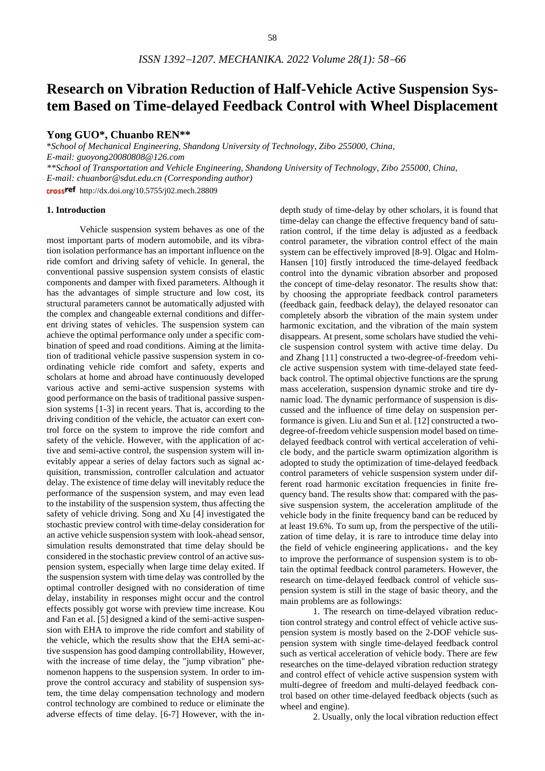# **Research on Vibration Reduction of Half-Vehicle Active Suspension System Based on Time-delayed Feedback Control with Wheel Displacement**

# **Yong GUO\*, Chuanbo REN\*\***

\**School of Mechanical Engineering, Shandong University of Technology, Zibo 255000, China, E-mail: guoyong20080808@126.com \*\*School of Transportation and Vehicle Engineering, Shandong University of Technology, Zibo 255000, China, E-mail: [chuanbor@sdut.edu.cn](mailto:chuanbor@sdut.edu.cn) (Corresponding author)* crossref http://dx.doi.org/10.5755/j02.mech.28809

## **1. Introduction**

Vehicle suspension system behaves as one of the most important parts of modern automobile, and its vibration isolation performance has an important influence on the ride comfort and driving safety of vehicle. In general, the conventional passive suspension system consists of elastic components and damper with fixed parameters. Although it has the advantages of simple structure and low cost, its structural parameters cannot be automatically adjusted with the complex and changeable external conditions and different driving states of vehicles. The suspension system can achieve the optimal performance only under a specific combination of speed and road conditions. Aiming at the limitation of traditional vehicle passive suspension system in coordinating vehicle ride comfort and safety, experts and scholars at home and abroad have continuously developed various active and semi-active suspension systems with good performance on the basis of traditional passive suspension systems [1-3] in recent years. That is, according to the driving condition of the vehicle, the actuator can exert control force on the system to improve the ride comfort and safety of the vehicle. However, with the application of active and semi-active control, the suspension system will inevitably appear a series of delay factors such as signal acquisition, transmission, controller calculation and actuator delay. The existence of time delay will inevitably reduce the performance of the suspension system, and may even lead to the instability of the suspension system, thus affecting the safety of vehicle driving. Song and Xu [4] investigated the stochastic preview control with time-delay consideration for an active vehicle suspension system with look-ahead sensor, simulation results demonstrated that time delay should be considered in the stochastic preview control of an active suspension system, especially when large time delay exited. If the suspension system with time delay was controlled by the optimal controller designed with no consideration of time delay, instability in responses might occur and the control effects possibly got worse with preview time increase. Kou and Fan et al. [5] designed a kind of the semi-active suspension with EHA to improve the ride comfort and stability of the vehicle, which the results show that the EHA semi-active suspension has good damping controllability, However, with the increase of time delay, the "jump vibration" phenomenon happens to the suspension system. In order to improve the control accuracy and stability of suspension system, the time delay compensation technology and modern control technology are combined to reduce or eliminate the adverse effects of time delay. [6-7] However, with the indepth study of time-delay by other scholars, it is found that time-delay can change the effective frequency band of saturation control, if the time delay is adjusted as a feedback control parameter, the vibration control effect of the main system can be effectively improved [8-9]. Olgac and Holm-Hansen [10] firstly introduced the time-delayed feedback control into the dynamic vibration absorber and proposed the concept of time-delay resonator. The results show that: by choosing the appropriate feedback control parameters (feedback gain, feedback delay), the delayed resonator can completely absorb the vibration of the main system under harmonic excitation, and the vibration of the main system disappears. At present, some scholars have studied the vehicle suspension control system with active time delay. Du and Zhang [11] constructed a two-degree-of-freedom vehicle active suspension system with time-delayed state feedback control. The optimal objective functions are the sprung mass acceleration, suspension dynamic stroke and tire dynamic load. The dynamic performance of suspension is discussed and the influence of time delay on suspension performance is given. Liu and Sun et al. [12] constructed a twodegree-of-freedom vehicle suspension model based on timedelayed feedback control with vertical acceleration of vehicle body, and the particle swarm optimization algorithm is adopted to study the optimization of time-delayed feedback control parameters of vehicle suspension system under different road harmonic excitation frequencies in finite frequency band. The results show that: compared with the passive suspension system, the acceleration amplitude of the vehicle body in the finite frequency band can be reduced by at least 19.6%. To sum up, from the perspective of the utilization of time delay, it is rare to introduce time delay into the field of vehicle engineering applications, and the key to improve the performance of suspension system is to obtain the optimal feedback control parameters. However, the research on time-delayed feedback control of vehicle suspension system is still in the stage of basic theory, and the main problems are as followings:

1. The research on time-delayed vibration reduction control strategy and control effect of vehicle active suspension system is mostly based on the 2-DOF vehicle suspension system with single time-delayed feedback control such as vertical acceleration of vehicle body. There are few researches on the time-delayed vibration reduction strategy and control effect of vehicle active suspension system with multi-degree of freedom and multi-delayed feedback control based on other time-delayed feedback objects (such as wheel and engine).

2. Usually, only the local vibration reduction effect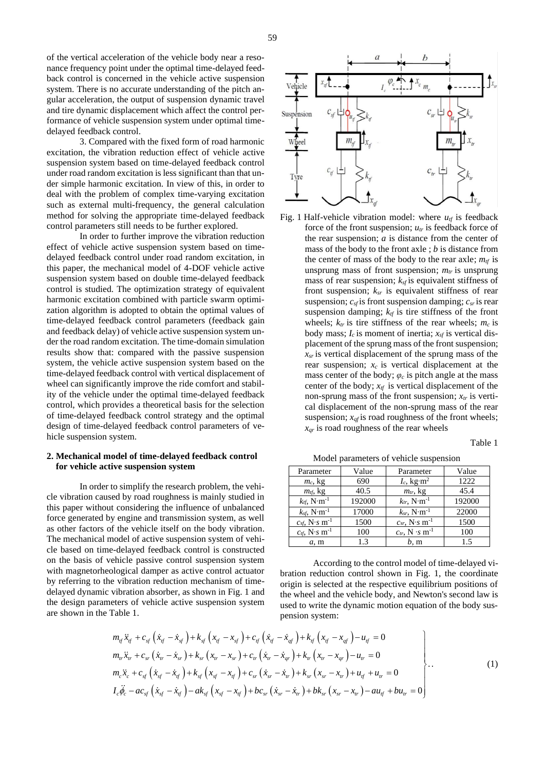59

nance frequency point under the optimal time-delayed feedback control is concerned in the vehicle active suspension system. There is no accurate understanding of the pitch angular acceleration, the output of suspension dynamic travel and tire dynamic displacement which affect the control performance of vehicle suspension system under optimal timedelayed feedback control.

3. Compared with the fixed form of road harmonic excitation, the vibration reduction effect of vehicle active suspension system based on time-delayed feedback control under road random excitation is less significant than that under simple harmonic excitation. In view of this, in order to deal with the problem of complex time-varying excitation such as external multi-frequency, the general calculation method for solving the appropriate time-delayed feedback control parameters still needs to be further explored.

In order to further improve the vibration reduction effect of vehicle active suspension system based on timedelayed feedback control under road random excitation, in this paper, the mechanical model of 4-DOF vehicle active suspension system based on double time-delayed feedback control is studied. The optimization strategy of equivalent harmonic excitation combined with particle swarm optimization algorithm is adopted to obtain the optimal values of time-delayed feedback control parameters (feedback gain and feedback delay) of vehicle active suspension system under the road random excitation. The time-domain simulation results show that: compared with the passive suspension system, the vehicle active suspension system based on the time-delayed feedback control with vertical displacement of wheel can significantly improve the ride comfort and stability of the vehicle under the optimal time-delayed feedback control, which provides a theoretical basis for the selection of time-delayed feedback control strategy and the optimal design of time-delayed feedback control parameters of vehicle suspension system.

# **2. Mechanical model of time-delayed feedback control for vehicle active suspension system**

In order to simplify the research problem, the vehicle vibration caused by road roughness is mainly studied in this paper without considering the influence of unbalanced force generated by engine and transmission system, as well as other factors of the vehicle itself on the body vibration. The mechanical model of active suspension system of vehicle based on time-delayed feedback control is constructed on the basis of vehicle passive control suspension system with magnetorheological damper as active control actuator by referring to the vibration reduction mechanism of timedelayed dynamic vibration absorber, as shown in Fig. 1 and the design parameters of vehicle active suspension system are shown in the Table 1.



Fig. 1 Half-vehicle vibration model: where  $u_f$  is feedback force of the front suspension;  $u<sub>tr</sub>$  is feedback force of the rear suspension; *a* is distance from the center of mass of the body to the front axle ; *b* is distance from the center of mass of the body to the rear axle;  $m_{tf}$  is unsprung mass of front suspension; *mtr* is unsprung mass of rear suspension;  $k_{sf}$  is equivalent stiffness of front suspension; *ksr* is equivalent stiffness of rear suspension;  $c_{sf}$  is front suspension damping;  $c_{sr}$  is rear suspension damping;  $k_f$  is tire stiffness of the front wheels;  $k_t$  is tire stiffness of the rear wheels;  $m_c$  is body mass;  $I_c$  is moment of inertia;  $x_{sf}$  is vertical displacement of the sprung mass of the front suspension; *xsr* is vertical displacement of the sprung mass of the rear suspension;  $x_c$  is vertical displacement at the mass center of the body;  $\varphi_c$  is pitch angle at the mass center of the body; *xtf* is vertical displacement of the non-sprung mass of the front suspension;  $x<sub>tr</sub>$  is vertical displacement of the non-sprung mass of the rear suspension;  $x_{qf}$  is road roughness of the front wheels; *xqr* is road roughness of the rear wheels

Table 1

Model parameters of vehicle suspension

| Parameter                             | Value  | Parameter                              | Value  |
|---------------------------------------|--------|----------------------------------------|--------|
| $m_c$ , kg                            | 690    | $I_c$ , kg·m <sup>2</sup>              | 1222   |
| $m_{tf}$ , kg                         | 40.5   | $m_{tr}$ , kg                          | 45.4   |
| $k_{\text{tf}}$ , N·m <sup>-1</sup>   | 192000 | $k_{tr}$ , N·m <sup>-1</sup>           | 192000 |
| $k_{sf}$ , N·m <sup>-1</sup>          | 17000  | $k_{sr}$ , N·m <sup>-1</sup>           | 22000  |
| $c_{sf}$ , N·s m <sup>-1</sup>        | 1500   | $c_{sr}$ , N·s m <sup>-1</sup>         | 1500   |
| $c_{\text{tf}}$ , N·s m <sup>-1</sup> | 100    | $c_{tr}$ , N $\cdot$ s m <sup>-1</sup> | 100    |
| a, m                                  | 1.3    | $b.$ m                                 | 1.5    |

According to the control model of time-delayed vibration reduction control shown in Fig. 1, the coordinate origin is selected at the respective equilibrium positions of the wheel and the vehicle body, and Newton's second law is used to write the dynamic motion equation of the body suspension system:

Table 1.

\n
$$
m_{ij}\ddot{x}_{ij} + c_{sj}\left(\dot{x}_{ij} - \dot{x}_{sj}\right) + k_{sf}\left(x_{ij} - x_{sj}\right) + c_{ij}\left(\dot{x}_{ij} - \dot{x}_{gt}\right) + k_{t}\left(x_{ij} - x_{qt}\right) - u_{tj} = 0
$$

\n
$$
m_{ir}\ddot{x}_{ir} + c_{sr}\left(\dot{x}_{ir} - \dot{x}_{sr}\right) + k_{sr}\left(x_{ir} - x_{sr}\right) + c_{ir}\left(\dot{x}_{ir} - \dot{x}_{qr}\right) + k_{ir}\left(x_{ir} - x_{qr}\right) - u_{tr} = 0
$$

\n
$$
m_{ci}\ddot{x}_{c} + c_{sj}\left(\dot{x}_{sj} - \dot{x}_{rj}\right) + k_{sj}\left(x_{sj} - x_{rj}\right) + c_{sr}\left(\dot{x}_{sr} - \dot{x}_{rr}\right) + k_{sr}\left(x_{sr} - x_{ir}\right) + u_{tj} + u_{tr} = 0
$$

\n
$$
I_{c}\ddot{\phi}_{c} - ac_{sf}\left(\dot{x}_{sf} - \dot{x}_{tj}\right) - ak_{sf}\left(x_{sf} - x_{tj}\right) + bc_{sr}\left(\dot{x}_{sr} - \dot{x}_{tr}\right) + bk_{sr}\left(x_{sr} - x_{tr}\right) - au_{tj} + bu_{tr} = 0
$$

\n(1)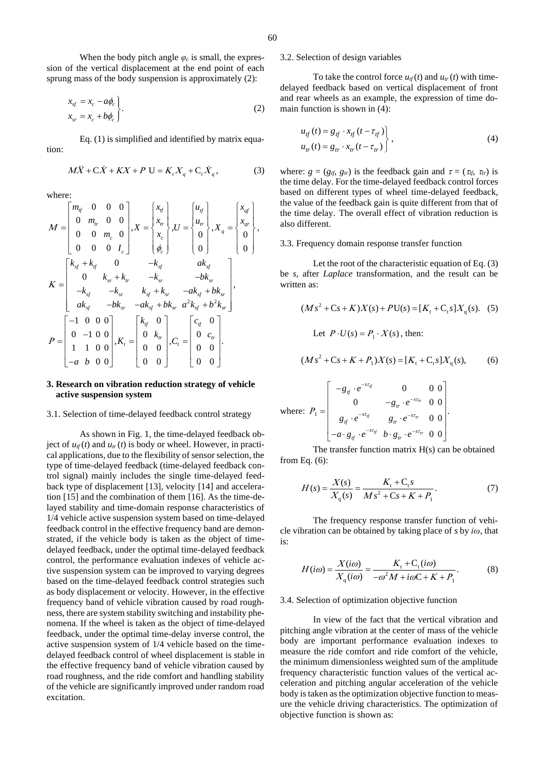When the body pitch angle  $\varphi_c$  is small, the expression of the vertical displacement at the end point of each sprung mass of the body suspension is approximately (2):

$$
x_{sf} = x_c - a\phi_c
$$
  
\n
$$
x_{sr} = x_c + b\phi_c
$$
 (2)

Eq. (1) is simplified and identified by matrix equation:

$$
M\ddot{X} + \mathbf{C}\dot{X} + KX + P \mathbf{U} = K_{t}X_{q} + \mathbf{C}_{t}\dot{X}_{q},
$$
 (3)

where:

where:  
\n
$$
M = \begin{bmatrix} m_f & 0 & 0 & 0 \\ 0 & m_r & 0 & 0 \\ 0 & 0 & m_c & 0 \\ 0 & 0 & 0 & I_c \end{bmatrix}, X = \begin{bmatrix} x_f \\ x_r \\ x_c \\ \phi_c \end{bmatrix}, U = \begin{bmatrix} u_f \\ u_r \\ 0 \\ 0 \end{bmatrix}, X_q = \begin{bmatrix} x_{qf} \\ x_{qr} \\ 0 \\ 0 \end{bmatrix},
$$
\n
$$
K = \begin{bmatrix} k_{sf} + k_{sf} & 0 & -k_{sf} & ak_{sf} \\ 0 & k_{sr} + k_{rr} & -k_{sr} & -bk_{sr} \\ -k_{sf} & -k_{sr} & k_{sf} + k_{sr} & -ak_{sf} + bk_{sr} \\ ak_{sf} & -bk_{sr} & -ak_{sf} + bk_{sr} & a^2k_{sf} + b^2k_{sr} \end{bmatrix},
$$
\n
$$
P = \begin{bmatrix} -1 & 0 & 0 & 0 \\ 0 & -1 & 0 & 0 \\ 1 & 1 & 0 & 0 \\ -a & b & 0 & 0 \end{bmatrix}, K_t = \begin{bmatrix} k_{tf} & 0 \\ 0 & k_{rr} \\ 0 & 0 \\ 0 & 0 \end{bmatrix}, C_t = \begin{bmatrix} c_{tf} & 0 \\ 0 & c_{rr} \\ 0 & 0 \\ 0 & 0 \end{bmatrix}.
$$

## **3. Research on vibration reduction strategy of vehicle active suspension system**

## 3.1. Selection of time-delayed feedback control strategy

As shown in Fig. 1, the time-delayed feedback object of  $u_{tf}(t)$  and  $u_{tr}(t)$  is body or wheel. However, in practical applications, due to the flexibility of sensor selection, the type of time-delayed feedback (time-delayed feedback control signal) mainly includes the single time-delayed feedback type of displacement [13], velocity [14] and acceleration [15] and the combination of them [16]. As the time-delayed stability and time-domain response characteristics of 1/4 vehicle active suspension system based on time-delayed feedback control in the effective frequency band are demonstrated, if the vehicle body is taken as the object of timedelayed feedback, under the optimal time-delayed feedback control, the performance evaluation indexes of vehicle active suspension system can be improved to varying degrees based on the time-delayed feedback control strategies such as body displacement or velocity. However, in the effective frequency band of vehicle vibration caused by road roughness, there are system stability switching and instability phenomena. If the wheel is taken as the object of time-delayed feedback, under the optimal time-delay inverse control, the active suspension system of 1/4 vehicle based on the timedelayed feedback control of wheel displacement is stable in the effective frequency band of vehicle vibration caused by road roughness, and the ride comfort and handling stability of the vehicle are significantly improved under random road excitation.

### 3.2. Selection of design variables

To take the control force  $u_{tf}(t)$  and  $u_{tr}(t)$  with timedelayed feedback based on vertical displacement of front and rear wheels as an example, the expression of time domain function is shown in (4):

$$
u_{tf}(t) = g_{tf} \cdot x_{tf}(t - \tau_{tf})
$$
  
\n
$$
u_{tr}(t) = g_{tr} \cdot x_{tr}(t - \tau_{tr})
$$
\n(4)

where:  $g = (g_{tf}, g_{tr})$  is the feedback gain and  $\tau = (\tau_{tf}, \tau_{tr})$  is the time delay. For the time-delayed feedback control forces based on different types of wheel time-delayed feedback, the value of the feedback gain is quite different from that of the time delay. The overall effect of vibration reduction is also different.

#### 3.3. Frequency domain response transfer function

Let the root of the characteristic equation of Eq. (3) be *s*, after *Laplace* transformation, and the result can be written as:

$$
(Ms2 + Cs + K)X(s) + PU(s) = [Kt + Cts]Xq(s).
$$
 (5)

Let 
$$
P \cdot U(s) = P_1 \cdot X(s)
$$
, then:

$$
(Ms2 + Cs + K + P1)X(s) = [Kt + Cts]Xq(s),
$$
 (6)

where: 
$$
P_1 = \begin{bmatrix} -g_{tf} \cdot e^{-s\tau_{tf}} & 0 & 0 & 0 \\ 0 & -g_{tr} \cdot e^{-s\tau_{tr}} & 0 & 0 \\ g_{tf} \cdot e^{-s\tau_{tf}} & g_{tr} \cdot e^{-s\tau_{tr}} & 0 & 0 \\ -a \cdot g_{tf} \cdot e^{-s\tau_{tf}} & b \cdot g_{tr} \cdot e^{-s\tau_{tr}} & 0 & 0 \end{bmatrix}.
$$

The transfer function matrix H(s) can be obtained from Eq. (6):

$$
H(s) = \frac{X(s)}{X_{q}(s)} = \frac{K_{t} + C_{t}s}{Ms^{2} + Cs + K + P_{1}}.
$$
 (7)

The frequency response transfer function of vehicle vibration can be obtained by taking place of *s* by *iω*, that is:

$$
H(i\omega) = \frac{X(i\omega)}{X_{\text{q}}(i\omega)} = \frac{K_{\text{t}} + C_{\text{t}}(i\omega)}{-\omega^2 M + i\omega C + K + P_{\text{1}}}.
$$
 (8)

### 3.4. Selection of optimization objective function

In view of the fact that the vertical vibration and pitching angle vibration at the center of mass of the vehicle body are important performance evaluation indexes to measure the ride comfort and ride comfort of the vehicle, the minimum dimensionless weighted sum of the amplitude frequency characteristic function values of the vertical acceleration and pitching angular acceleration of the vehicle body is taken as the optimization objective function to measure the vehicle driving characteristics. The optimization of objective function is shown as: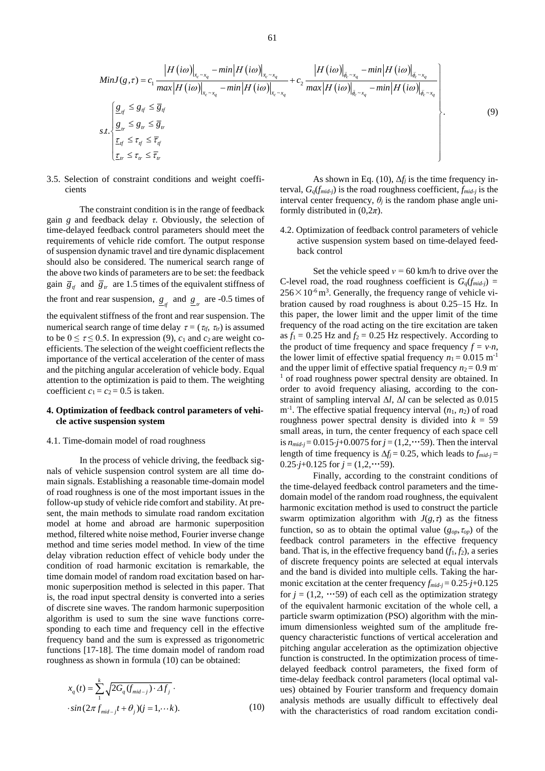61  
\n
$$
MinJ(g,\tau) = c_1 \frac{|H(i\omega)|_{x_c - x_q} - min|H(i\omega)|_{x_c - x_q}}{max|H(i\omega)|_{x_c - x_q} - min|H(i\omega)|_{x_c - x_q}} + c_2 \frac{|H(i\omega)|_{\phi_c - x_q} - min|H(i\omega)|_{\phi_c - x_q}}{max|H(i\omega)|_{\phi_c - x_q} - min|H(i\omega)|_{\phi_c - x_q}}
$$
\n
$$
s.t. \begin{cases} \frac{g_{\tau f} \leq g_{\tau f} \leq \overline{g}_{\tau}}{\underline{g}_{\tau r} \leq g_{\tau r} \leq \overline{g}_{\tau}} \\ \frac{\overline{g}_{\tau r} \leq g_{\tau r} \leq \overline{g}_{\tau}}{\underline{f}_{\tau r} \leq \tau_{\tau r} \leq \overline{\tau}_{\tau}} \end{cases}
$$
\n(9)

# 3.5. Selection of constraint conditions and weight coefficients

The constraint condition is in the range of feedback gain *g* and feedback delay *τ*. Obviously, the selection of time-delayed feedback control parameters should meet the requirements of vehicle ride comfort. The output response of suspension dynamic travel and tire dynamic displacement should also be considered. The numerical search range of the above two kinds of parameters are to be set: the feedback gain  $\overline{g}_t$  and  $\overline{g}_t$  are 1.5 times of the equivalent stiffness of the front and rear suspension,  $g_f$  and  $g_r$  are -0.5 times of the equivalent stiffness of the front and rear suspension. The numerical search range of time delay  $\tau = (\tau_{tf}, \tau_{tr})$  is assumed to be  $0 \le \tau \le 0.5$ . In expression (9),  $c_1$  and  $c_2$  are weight coefficients. The selection of the weight coefficient reflects the importance of the vertical acceleration of the center of mass and the pitching angular acceleration of vehicle body. Equal attention to the optimization is paid to them. The weighting coefficient  $c_1 = c_2 = 0.5$  is taken.

# **4. Optimization of feedback control parameters of vehicle active suspension system**

## 4.1. Time-domain model of road roughness

In the process of vehicle driving, the feedback signals of vehicle suspension control system are all time domain signals. Establishing a reasonable time-domain model of road roughness is one of the most important issues in the follow-up study of vehicle ride comfort and stability. At present, the main methods to simulate road random excitation model at home and abroad are harmonic superposition method, filtered white noise method, Fourier inverse change method and time series model method. In view of the time delay vibration reduction effect of vehicle body under the condition of road harmonic excitation is remarkable, the time domain model of random road excitation based on harmonic superposition method is selected in this paper. That is, the road input spectral density is converted into a series of discrete sine waves. The random harmonic superposition algorithm is used to sum the sine wave functions corresponding to each time and frequency cell in the effective frequency band and the sum is expressed as trigonometric functions [17-18]. The time domain model of random road roughness as shown in formula (10) can be obtained:

$$
x_q(t) = \sum_{1}^{k} \sqrt{2G_q(f_{mid-j}) \cdot \Delta f_j} \cdot \sin(2\pi f_{mid-j}t + \theta_j)(j = 1, \dots k).
$$
 (10)

As shown in Eq. (10),  $\Delta f_i$  is the time frequency interval,  $G_q(f_{mid-1})$  is the road roughness coefficient,  $f_{mid-1}$  is the interval center frequency,  $\theta_i$  is the random phase angle uniformly distributed in  $(0,2\pi)$ .

4.2. Optimization of feedback control parameters of vehicle active suspension system based on time-delayed feedback control

Set the vehicle speed  $v = 60$  km/h to drive over the C-level road, the road roughness coefficient is  $G_q(f_{mid-j})$  $256 \times 10^{-6}$  m<sup>3</sup>. Generally, the frequency range of vehicle vibration caused by road roughness is about 0.25–15 Hz. In this paper, the lower limit and the upper limit of the time frequency of the road acting on the tire excitation are taken as  $f_1 = 0.25$  Hz and  $f_2 = 0.25$  Hz respectively. According to the product of time frequency and space frequency  $f = v \cdot n$ , the lower limit of effective spatial frequency  $n_1 = 0.015$  m<sup>-1</sup> and the upper limit of effective spatial frequency  $n_2 = 0.9$  m of road roughness power spectral density are obtained. In order to avoid frequency aliasing, according to the constraint of sampling interval Δ*l*, Δ*l* can be selected as 0.015  $m^{-1}$ . The effective spatial frequency interval  $(n_1, n_2)$  of road roughness power spectral density is divided into  $k = 59$ small areas, in turn, the center frequency of each space cell is  $n_{mid-j} = 0.015 \cdot j + 0.0075$  for  $j = (1, 2, \dots, 59)$ . Then the interval length of time frequency is ∆*fj* = 0.25, which leads to *fmid-j* = 0.25 $\cdot$ *j*+0.125 for *j* = (1,2,…59).

Finally, according to the constraint conditions of the time-delayed feedback control parameters and the timedomain model of the random road roughness, the equivalent harmonic excitation method is used to construct the particle swarm optimization algorithm with  $J(g, \tau)$  as the fitness function, so as to obtain the optimal value  $(g_{op}, \tau_{op})$  of the feedback control parameters in the effective frequency band. That is, in the effective frequency band (*f*1, *f*2), a series of discrete frequency points are selected at equal intervals and the band is divided into multiple cells. Taking the harmonic excitation at the center frequency  $f_{mid-j} = 0.25 \cdot j + 0.125$ for  $j = (1,2, \dots, 59)$  of each cell as the optimization strategy of the equivalent harmonic excitation of the whole cell, a particle swarm optimization (PSO) algorithm with the minimum dimensionless weighted sum of the amplitude frequency characteristic functions of vertical acceleration and pitching angular acceleration as the optimization objective function is constructed. In the optimization process of timedelayed feedback control parameters, the fixed form of time-delay feedback control parameters (local optimal values) obtained by Fourier transform and frequency domain analysis methods are usually difficult to effectively deal with the characteristics of road random excitation condi-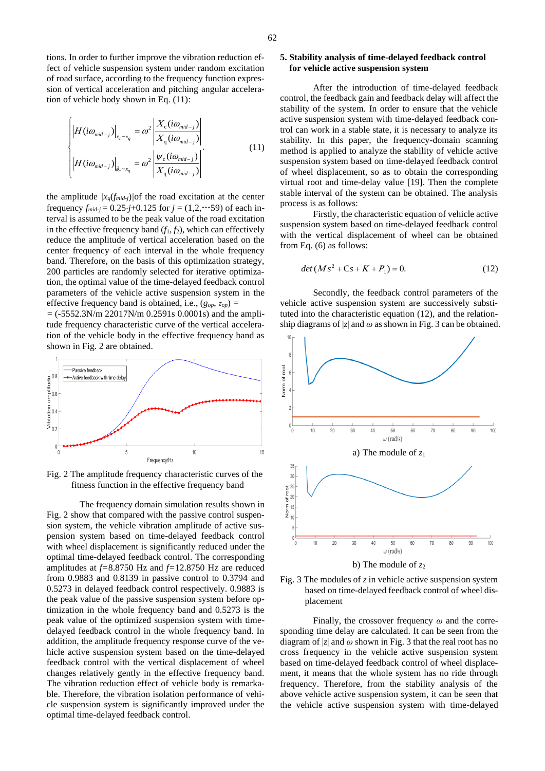tions. In order to further improve the vibration reduction effect of vehicle suspension system under random excitation of road surface, according to the frequency function expression of vertical acceleration and pitching angular acceleration of vehicle body shown in Eq. (11):

$$
\begin{cases}\n\left|H(i\omega_{mid-j})\right|_{\ddot{x}_c \sim x_q} = \omega^2 \left| \frac{X_c(i\omega_{mid-j})}{X_q(i\omega_{mid-j})} \right| \\
\left|H(i\omega_{mid-j})\right|_{\ddot{\theta}_c \sim x_q} = \omega^2 \left| \frac{\psi_c(i\omega_{mid-j})}{X_q(i\omega_{mid-j})} \right|\n\end{cases} (11)
$$

the amplitude  $\frac{x_q(f_{mid-j})}{\sigma}$  the road excitation at the center frequency  $f_{mid-j} = 0.25 \cdot j + 0.125$  for  $j = (1,2,...59)$  of each interval is assumed to be the peak value of the road excitation in the effective frequency band  $(f_1, f_2)$ , which can effectively reduce the amplitude of vertical acceleration based on the center frequency of each interval in the whole frequency band. Therefore, on the basis of this optimization strategy, 200 particles are randomly selected for iterative optimization, the optimal value of the time-delayed feedback control parameters of the vehicle active suspension system in the effective frequency band is obtained, i.e., (*gop*, *τop*) *=*

*=* (-5552.3N/m 22017N/m 0.2591s 0.0001s) and the amplitude frequency characteristic curve of the vertical acceleration of the vehicle body in the effective frequency band as shown in Fig. 2 are obtained.



Fig. 2 The amplitude frequency characteristic curves of the fitness function in the effective frequency band

The frequency domain simulation results shown in Fig. 2 show that compared with the passive control suspension system, the vehicle vibration amplitude of active suspension system based on time-delayed feedback control with wheel displacement is significantly reduced under the optimal time-delayed feedback control. The corresponding amplitudes at *f=*8.8750 Hz and *f=*12.8750 Hz are reduced from 0.9883 and 0.8139 in passive control to 0.3794 and 0.5273 in delayed feedback control respectively. 0.9883 is the peak value of the passive suspension system before optimization in the whole frequency band and 0.5273 is the peak value of the optimized suspension system with timedelayed feedback control in the whole frequency band. In addition, the amplitude frequency response curve of the vehicle active suspension system based on the time-delayed feedback control with the vertical displacement of wheel changes relatively gently in the effective frequency band. The vibration reduction effect of vehicle body is remarkable. Therefore, the vibration isolation performance of vehicle suspension system is significantly improved under the optimal time-delayed feedback control.

## **5. Stability analysis of time-delayed feedback control for vehicle active suspension system**

After the introduction of time-delayed feedback control, the feedback gain and feedback delay will affect the stability of the system. In order to ensure that the vehicle active suspension system with time-delayed feedback control can work in a stable state, it is necessary to analyze its stability. In this paper, the frequency-domain scanning method is applied to analyze the stability of vehicle active suspension system based on time-delayed feedback control of wheel displacement, so as to obtain the corresponding virtual root and time-delay value [19]. Then the complete stable interval of the system can be obtained. The analysis process is as follows:

Firstly, the characteristic equation of vehicle active suspension system based on time-delayed feedback control with the vertical displacement of wheel can be obtained from Eq. (6) as follows:

$$
det(Ms^2 + Cs + K + P_1) = 0.
$$
 (12)

Secondly, the feedback control parameters of the vehicle active suspension system are successively substituted into the characteristic equation (12), and the relationship diagrams of  $|z|$  and  $\omega$  as shown in Fig. 3 can be obtained.





Finally, the crossover frequency *ω* and the corresponding time delay are calculated. It can be seen from the diagram of |*z*| and *ω* shown in Fig. 3 that the real root has no cross frequency in the vehicle active suspension system based on time-delayed feedback control of wheel displacement, it means that the whole system has no ride through frequency. Therefore, from the stability analysis of the above vehicle active suspension system, it can be seen that the vehicle active suspension system with time-delayed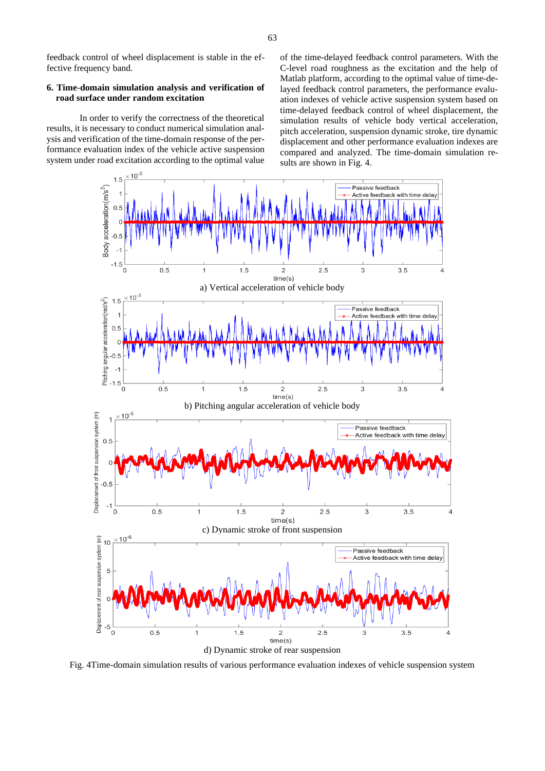feedback control of wheel displacement is stable in the effective frequency band.

## **6. Time**-**domain simulation analysis and verification of road surface under random excitation**

In order to verify the correctness of the theoretical results, it is necessary to conduct numerical simulation analysis and verification of the time-domain response of the performance evaluation index of the vehicle active suspension system under road excitation according to the optimal value

of the time-delayed feedback control parameters. With the C-level road roughness as the excitation and the help of Matlab platform, according to the optimal value of time-delayed feedback control parameters, the performance evaluation indexes of vehicle active suspension system based on time-delayed feedback control of wheel displacement, the simulation results of vehicle body vertical acceleration, pitch acceleration, suspension dynamic stroke, tire dynamic displacement and other performance evaluation indexes are compared and analyzed. The time-domain simulation results are shown in Fig. 4.



Fig. 4Time-domain simulation results of various performance evaluation indexes of vehicle suspension system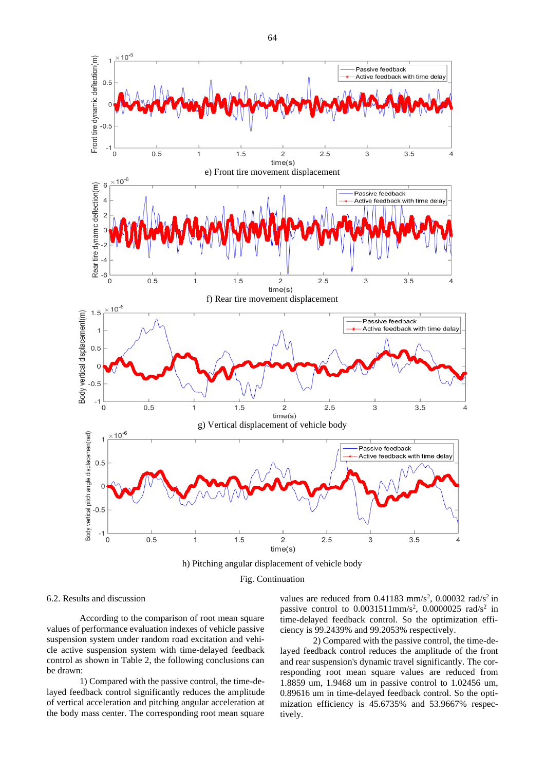

h) Pitching angular displacement of vehicle body

Fig. Continuation

## 6.2. Results and discussion

According to the comparison of root mean square values of performance evaluation indexes of vehicle passive suspension system under random road excitation and vehicle active suspension system with time-delayed feedback control as shown in Table 2, the following conclusions can be drawn:

1) Compared with the passive control, the time-delayed feedback control significantly reduces the amplitude of vertical acceleration and pitching angular acceleration at the body mass center. The corresponding root mean square

values are reduced from 0.41183 mm/s<sup>2</sup>, 0.00032 rad/s<sup>2</sup> in passive control to  $0.0031511$ mm/s<sup>2</sup>,  $0.0000025$  rad/s<sup>2</sup> in time-delayed feedback control. So the optimization efficiency is 99.2439% and 99.2053% respectively.

2) Compared with the passive control, the time-delayed feedback control reduces the amplitude of the front and rear suspension's dynamic travel significantly. The corresponding root mean square values are reduced from 1.8859 um, 1.9468 um in passive control to 1.02456 um, 0.89616 um in time-delayed feedback control. So the optimization efficiency is 45.6735% and 53.9667% respectively.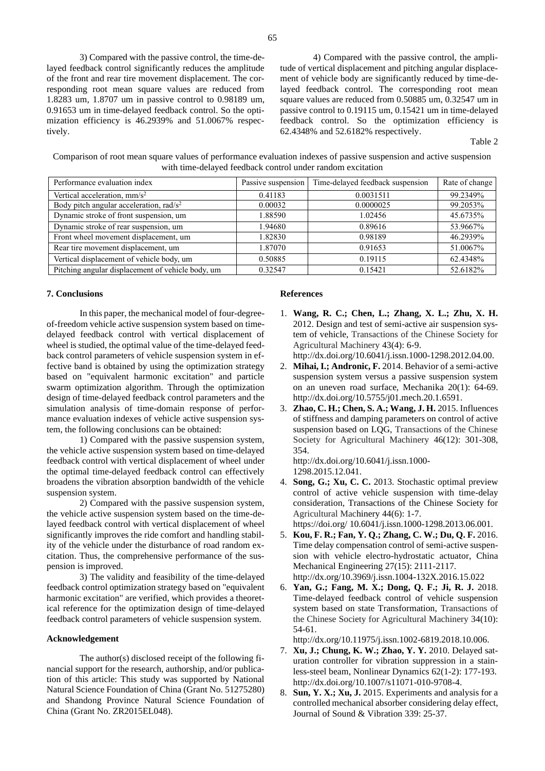3) Compared with the passive control, the time-delayed feedback control significantly reduces the amplitude of the front and rear tire movement displacement. The corresponding root mean square values are reduced from 1.8283 um, 1.8707 um in passive control to 0.98189 um, 0.91653 um in time-delayed feedback control. So the optimization efficiency is 46.2939% and 51.0067% respectively.

4) Compared with the passive control, the amplitude of vertical displacement and pitching angular displacement of vehicle body are significantly reduced by time-delayed feedback control. The corresponding root mean square values are reduced from 0.50885 um, 0.32547 um in passive control to 0.19115 um, 0.15421 um in time-delayed feedback control. So the optimization efficiency is 62.4348% and 52.6182% respectively.

Table 2

Comparison of root mean square values of performance evaluation indexes of passive suspension and active suspension with time-delayed feedback control under random excitation

| Performance evaluation index                      | Passive suspension | Time-delayed feedback suspension | Rate of change |
|---------------------------------------------------|--------------------|----------------------------------|----------------|
| Vertical acceleration, $mm/s2$                    | 0.41183            | 0.0031511                        | 99.2349%       |
| Body pitch angular acceleration, rad/ $s^2$       | 0.00032            | 0.0000025                        | 99.2053%       |
| Dynamic stroke of front suspension, um            | 1.88590            | 1.02456                          | 45.6735%       |
| Dynamic stroke of rear suspension, um             | 1.94680            | 0.89616                          | 53.9667%       |
| Front wheel movement displacement, um             | 1.82830            | 0.98189                          | 46.2939%       |
| Rear tire movement displacement, um               | 1.87070            | 0.91653                          | 51.0067%       |
| Vertical displacement of vehicle body, um         | 0.50885            | 0.19115                          | 62.4348%       |
| Pitching angular displacement of vehicle body, um | 0.32547            | 0.15421                          | 52.6182%       |

#### **7. Conclusions**

In this paper, the mechanical model of four-degreeof-freedom vehicle active suspension system based on timedelayed feedback control with vertical displacement of wheel is studied, the optimal value of the time-delayed feedback control parameters of vehicle suspension system in effective band is obtained by using the optimization strategy based on "equivalent harmonic excitation" and particle swarm optimization algorithm. Through the optimization design of time-delayed feedback control parameters and the simulation analysis of time-domain response of performance evaluation indexes of vehicle active suspension system, the following conclusions can be obtained:

1) Compared with the passive suspension system, the vehicle active suspension system based on time-delayed feedback control with vertical displacement of wheel under the optimal time-delayed feedback control can effectively broadens the vibration absorption bandwidth of the vehicle suspension system.

2) Compared with the passive suspension system, the vehicle active suspension system based on the time-delayed feedback control with vertical displacement of wheel significantly improves the ride comfort and handling stability of the vehicle under the disturbance of road random excitation. Thus, the comprehensive performance of the suspension is improved.

3) The validity and feasibility of the time-delayed feedback control optimization strategy based on "equivalent harmonic excitation" are verified, which provides a theoretical reference for the optimization design of time-delayed feedback control parameters of vehicle suspension system.

### **Acknowledgement**

The author(s) disclosed receipt of the following financial support for the research, authorship, and/or publication of this article: This study was supported by National Natural Science Foundation of China (Grant No. 51275280) and Shandong Province Natural Science Foundation of China (Grant No. ZR2015EL048).

## **References**

- 1. **Wang, R. C.; Chen, L.; Zhang, X. L.; Zhu, X. H.** 2012. Design and test of semi-active air suspension system of vehicle, Transactions of the Chinese Society for Agricultural Machinery 43(4): 6-9.
	- [http://dx.doi.org/10.6041/j.issn.1000-1298.2012.04.00.](http://dx.doi.org/10.6041/j.issn.1000-1298.2012.04.00)
- 2. **Mihai, I.; Andronic, F.** 2014. Behavior of a semi-active suspension system versus a passive suspension system on an uneven road surface, Mechanika 20(1): 64-69. [http://dx.doi.org/10.5755/j01.mech.20.1.6591.](http://dx.doi.org/10.5755/j01.mech.20.1.6591)
- 3. **Zhao, C. H.; Chen, S. A.; Wang, J. H.** 2015. Influences of stiffness and damping parameters on control of active suspension based on LQG, Transactions of the Chinese Society for Agricultural Machinery 46(12): 301-308, 354.

[http://dx.doi.org/10.6041/j.issn.1000-](http://dx.doi.org/10.6041/j.issn.1000-1298.2015.12.041) [1298.2015.12.041.](http://dx.doi.org/10.6041/j.issn.1000-1298.2015.12.041)

- 4. **Song, G.; Xu, C. C.** 2013. Stochastic optimal preview control of active vehicle suspension with time-delay consideration, Transactions of the Chinese Society for Agricultural Machinery 44(6): 1-7.
	- https://doi.org/ 10.6041/j.issn.1000-1298.2013.06.001.
- 5. **Kou, F. R.; Fan, Y. Q.; Zhang, C. W.; Du, Q. F.** 2016. Time delay compensation control of semi-active suspension with vehicle electro-hydrostatic actuator, China Mechanical Engineering 27(15): 2111-2117. http://dx.org/10.3969/j.issn.1004-132X.2016.15.022
- 6. **Yan, G.; Fang, M. X.; Dong, Q. F.; Ji, R. J.** 2018. Time-delayed feedback control of vehicle suspension system based on state Transformation, Transactions of the Chinese Society for Agricultural Machinery 34(10): 54-61.

[http://dx.org/10.11975/j.issn.1002-6819.2018.10.006.](http://dx.org/10.11975/j.issn.1002-6819.2018.10.006)

- 7. **Xu, J.; Chung, K. W.; Zhao, Y. Y.** 2010. Delayed saturation controller for vibration suppression in a stainless-steel beam, Nonlinear Dynamics 62(1-2): 177-193. [http://dx.doi.org/10.1007/s11071-010-9708-4.](http://dx.doi.org/10.1007/s11071-010-9708-4)
- 8. **Sun, Y. X.; Xu, J.** 2015. Experiments and analysis for a controlled mechanical absorber considering delay effect, Journal of Sound & Vibration 339: 25-37.